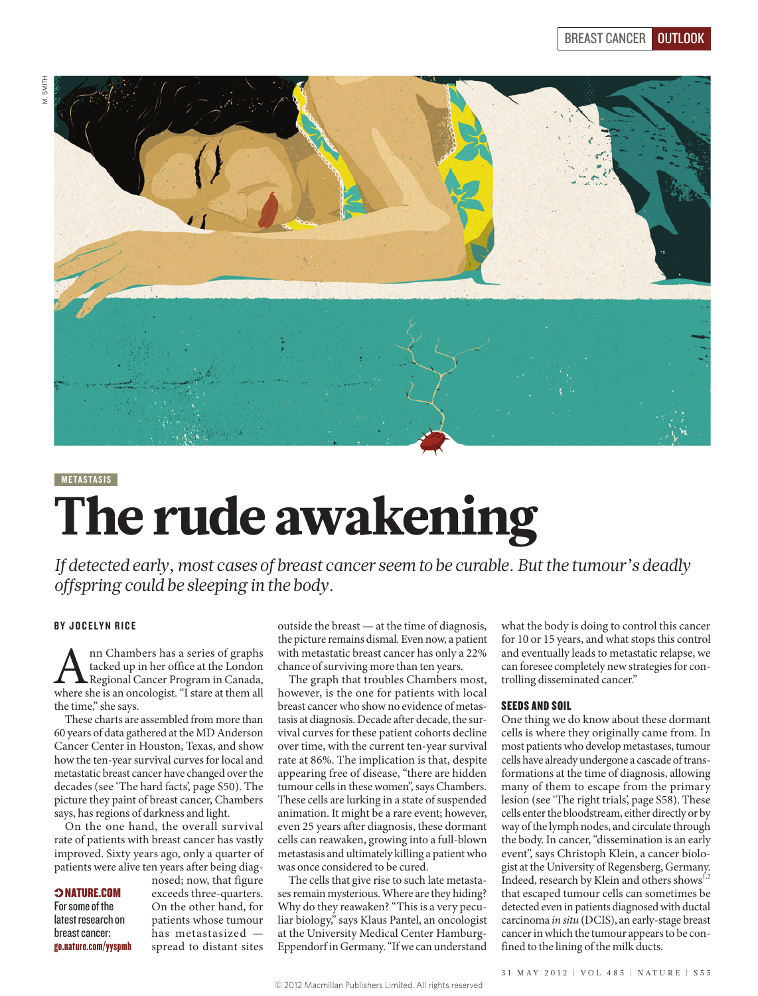

## **METASTASIS**

# The rude awakening

*If detected early, most cases of breast cancer seem to be curable. But the tumour's deadly offspring could be sleeping in the body.* 

# BY JOCELYN RICE

Ann Chambers has a series of graphs<br>tacked up in her office at the London<br>Regional Cancer Program in Canada,<br>where she is an oncologist. "I stare at them all tacked up in her office at the London Regional Cancer Program in Canada, the time," she says.

These charts are assembled from more than 60 years of data gathered at the MD Anderson Cancer Center in Houston, Texas, and show how the ten-year survival curves for local and metastatic breast cancer have changed over the decades (see 'The hard facts', page S50). The picture they paint of breast cancer, Chambers says, has regions of darkness and light.

On the one hand, the overall survival rate of patients with breast cancer has vastly improved. Sixty years ago, only a quarter of patients were alive ten years after being diag-

#### NATURE.COM

For some of the latest research on breast cancer: go.nature.com/yyspmh nosed; now, that figure exceeds three-quarters. On the other hand, for patients whose tumour has metastasized spread to distant sites

outside the breast — at the time of diagnosis, the picture remains dismal. Even now, a patient with metastatic breast cancer has only a 22% chance of surviving more than ten years.

The graph that troubles Chambers most, however, is the one for patients with local breast cancer who show no evidence of metastasis at diagnosis. Decade after decade, the survival curves for these patient cohorts decline over time, with the current ten-year survival rate at 86%. The implication is that, despite appearing free of disease, "there are hidden tumour cells in these women", says Chambers. These cells are lurking in a state of suspended animation. It might be a rare event; however, even 25 years after diagnosis, these dormant cells can reawaken, growing into a full-blown metastasis and ultimately killing a patient who was once considered to be cured.

The cells that give rise to such late metastases remain mysterious. Where are they hiding? Why do they reawaken? "This is a very peculiar biology," says Klaus Pantel, an oncologist at the University Medical Center Hamburg-Eppendorf in Germany. "If we can understand

what the body is doing to control this cancer for 10 or 15 years, and what stops this control and eventually leads to metastatic relapse, we can foresee completely new strategies for controlling disseminated cancer."

### SEEDS AND SOIL

One thing we do know about these dormant cells is where they originally came from. In most patients who develop metastases, tumour cells have already undergone a cascade of transformations at the time of diagnosis, allowing many of them to escape from the primary lesion (see 'The right trials', page S58). These cells enter the bloodstream, either directly or by way of the lymph nodes, and circulate through the body. In cancer, "dissemination is an early event", says Christoph Klein, a cancer biologist at the University of Regensberg, Germany. Indeed, research by Klein and others shows<sup>1,2</sup> that escaped tumour cells can sometimes be detected even in patients diagnosed with ductal carcinoma *in situ* (DCIS), an early-stage breast cancer in which the tumour appears to be confined to the lining of the milk ducts.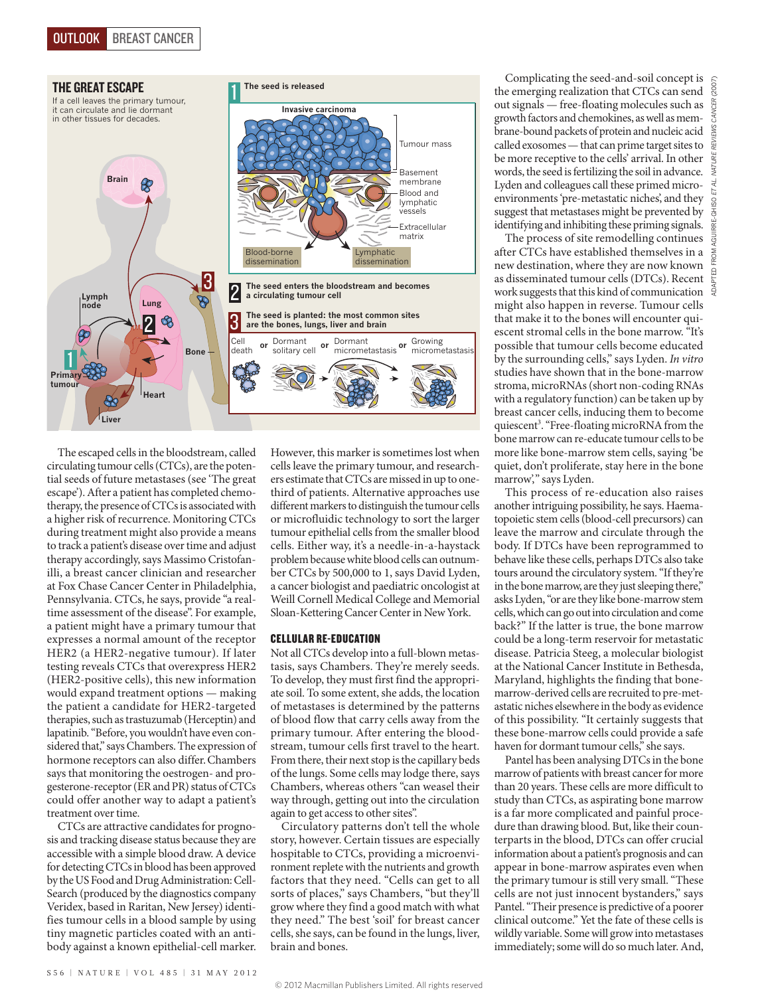



The escaped cells in the bloodstream, called circulating tumour cells (CTCs), are the potential seeds of future metastases (see 'The great escape'). After a patient has completed chemotherapy, the presence of CTCs is associated with a higher risk of recurrence. Monitoring CTCs during treatment might also provide a means to track a patient's disease over time and adjust therapy accordingly, says Massimo Cristofanilli, a breast cancer clinician and researcher at Fox Chase Cancer Center in Philadelphia, Pennsylvania. CTCs, he says, provide "a realtime assessment of the disease". For example, a patient might have a primary tumour that expresses a normal amount of the receptor HER2 (a HER2-negative tumour). If later testing reveals CTCs that overexpress HER2 (HER2-positive cells), this new information would expand treatment options — making the patient a candidate for HER2-targeted therapies, such as trastuzumab (Herceptin) and lapatinib. "Before, you wouldn't have even considered that," says Chambers. The expression of hormone receptors can also differ.Chambers says that monitoring the oestrogen- and progesterone-receptor (ER and PR) status of CTCs could offer another way to adapt a patient's treatment over time.

CTCs are attractive candidates for prognosis and tracking disease status because they are accessible with a simple blood draw. A device for detecting CTCs in blood has been approved by the US Food and Drug Administration: Cell-Search (produced by the diagnostics company Veridex, based in Raritan, New Jersey) identifies tumour cells in a blood sample by using tiny magnetic particles coated with an antibody against a known epithelial-cell marker.

However, this marker is sometimes lost when cells leave the primary tumour, and researchers estimate that CTCs are missed in up to onethird of patients. Alternative approaches use different markers to distinguish the tumour cells or microfluidic technology to sort the larger tumour epithelial cells from the smaller blood cells. Either way, it's a needle-in-a-haystack problem because white blood cells can outnumber CTCs by 500,000 to 1, says David Lyden, a cancer biologist and paediatric oncologist at Weill Cornell Medical College and Memorial Sloan-Kettering Cancer Center in New York.

## CELLULAR RE-EDUCATION

Not all CTCs develop into a full-blown metastasis, says Chambers. They're merely seeds. To develop, they must first find the appropriate soil. To some extent, she adds, the location of metastases is determined by the patterns of blood flow that carry cells away from the primary tumour. After entering the bloodstream, tumour cells first travel to the heart. From there, their next stop is the capillary beds of the lungs. Some cells may lodge there, says Chambers, whereas others "can weasel their way through, getting out into the circulation again to get access to other sites".

Circulatory patterns don't tell the whole story, however. Certain tissues are especially hospitable to CTCs, providing a microenvironment replete with the nutrients and growth factors that they need. "Cells can get to all sorts of places," says Chambers, "but they'll grow where they find a good match with what they need." The best 'soil' for breast cancer cells, she says, can be found in the lungs, liver, brain and bones.

Complicating the seed-and-soil concept is the emerging realization that CTCs can send out signals — free-floating molecules such as growth factors and chemokines, as well as membrane-bound packets of protein and nucleic acid called exosomes — that can prime target sites to be more receptive to the cells' arrival. In other words, the seed is fertilizing the soil in advance. Lyden and colleagues call these primed microenvironments 'pre-metastatic niches', and they suggest that metastases might be prevented by identifying and inhibiting these priming signals.

The process of site remodelling continues after CTCs have established themselves in a new destination, where they are now known as disseminated tumour cells (DTCs). Recent work suggests that this kind of communication might also happen in reverse. Tumour cells that make it to the bones will encounter quiescent stromal cells in the bone marrow. "It's possible that tumour cells become educated by the surrounding cells," says Lyden. *In vitro* studies have shown that in the bone-marrow stroma, microRNAs (short non-coding RNAs with a regulatory function) can be taken up by breast cancer cells, inducing them to become quiescent<sup>3</sup>. "Free-floating microRNA from the bone marrow can re-educate tumour cells to be more like bone-marrow stem cells, saying 'be quiet, don't proliferate, stay here in the bone marrow'," says Lyden.

This process of re-education also raises another intriguing possibility, he says. Haematopoietic stem cells (blood-cell precursors) can leave the marrow and circulate through the body. If DTCs have been reprogrammed to behave like these cells, perhaps DTCs also take tours around the circulatory system. "If they're in the bone marrow, are they just sleeping there," asks Lyden, "or are they like bone-marrow stem cells, which can go out into circulation and come back?" If the latter is true, the bone marrow could be a long-term reservoir for metastatic disease. Patricia Steeg, a molecular biologist at the National Cancer Institute in Bethesda, Maryland, highlights the finding that bonemarrow-derived cells are recruited to pre-metastatic niches elsewhere in the body as evidence of this possibility. "It certainly suggests that these bone-marrow cells could provide a safe haven for dormant tumour cells," she says.

Pantel has been analysing DTCs in the bone marrow of patients with breast cancer for more than 20 years. These cells are more difficult to study than CTCs, as aspirating bone marrow is a far more complicated and painful procedure than drawing blood. But, like their counterparts in the blood, DTCs can offer crucial information about a patient's prognosis and can appear in bone-marrow aspirates even when the primary tumour is still very small. "These cells are not just innocent bystanders," says Pantel. "Their presence is predictive of a poorer clinical outcome." Yet the fate of these cells is wildly variable. Some will grow into metastases immediately; some will do so much later. And,